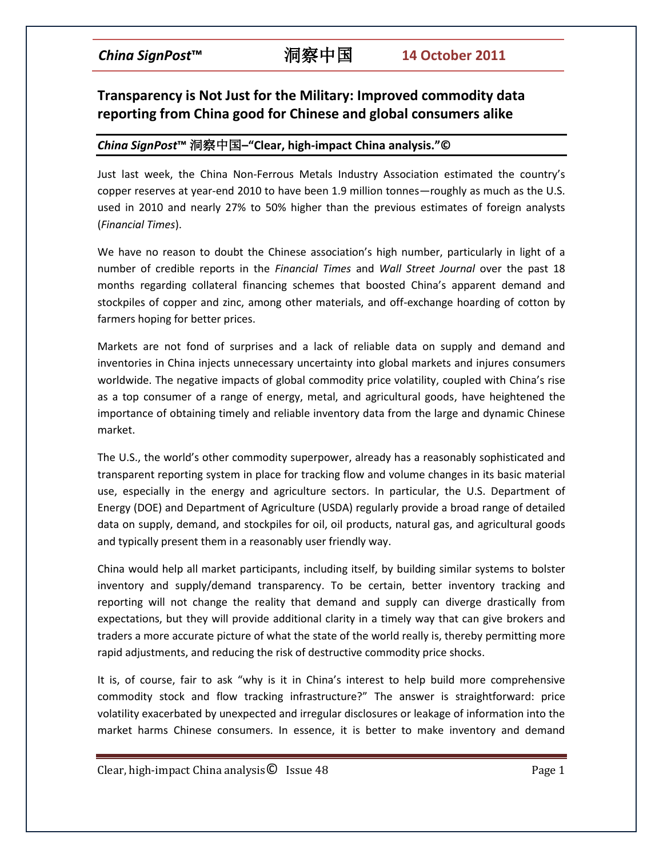# **Transparency is Not Just for the Military: Improved commodity data reporting from China good for Chinese and global consumers alike**

## *China SignPost***™** 洞察中国**–"Clear, high-impact China analysis."©**

Just last week, the China Non-Ferrous Metals Industry Association estimated the country's copper reserves at year-end 2010 to have been 1.9 million tonnes—roughly as much as the U.S. used in 2010 and nearly 27% to 50% higher than the previous estimates of foreign analysts (*Financial Times*).

We have no reason to doubt the Chinese association's high number, particularly in light of a number of credible reports in the *Financial Times* and *Wall Street Journal* over the past 18 months regarding collateral financing schemes that boosted China's apparent demand and stockpiles of copper and zinc, among other materials, and off-exchange hoarding of cotton by farmers hoping for better prices.

Markets are not fond of surprises and a lack of reliable data on supply and demand and inventories in China injects unnecessary uncertainty into global markets and injures consumers worldwide. The negative impacts of global commodity price volatility, coupled with China's rise as a top consumer of a range of energy, metal, and agricultural goods, have heightened the importance of obtaining timely and reliable inventory data from the large and dynamic Chinese market.

The U.S., the world's other commodity superpower, already has a reasonably sophisticated and transparent reporting system in place for tracking flow and volume changes in its basic material use, especially in the energy and agriculture sectors. In particular, the U.S. Department of Energy (DOE) and Department of Agriculture (USDA) regularly provide a broad range of detailed data on supply, demand, and stockpiles for oil, oil products, natural gas, and agricultural goods and typically present them in a reasonably user friendly way.

China would help all market participants, including itself, by building similar systems to bolster inventory and supply/demand transparency. To be certain, better inventory tracking and reporting will not change the reality that demand and supply can diverge drastically from expectations, but they will provide additional clarity in a timely way that can give brokers and traders a more accurate picture of what the state of the world really is, thereby permitting more rapid adjustments, and reducing the risk of destructive commodity price shocks.

It is, of course, fair to ask "why is it in China's interest to help build more comprehensive commodity stock and flow tracking infrastructure?" The answer is straightforward: price volatility exacerbated by unexpected and irregular disclosures or leakage of information into the market harms Chinese consumers. In essence, it is better to make inventory and demand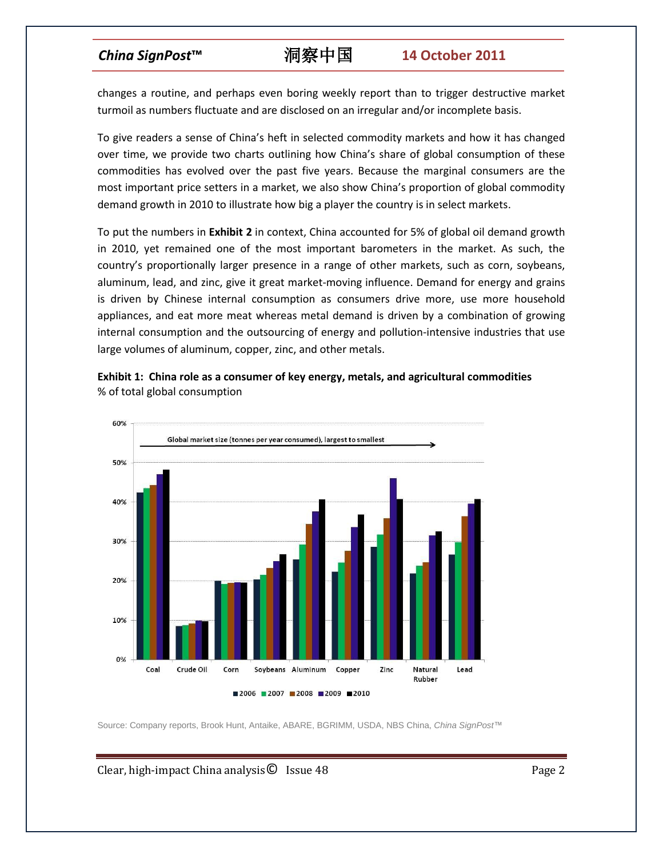changes a routine, and perhaps even boring weekly report than to trigger destructive market turmoil as numbers fluctuate and are disclosed on an irregular and/or incomplete basis.

To give readers a sense of China's heft in selected commodity markets and how it has changed over time, we provide two charts outlining how China's share of global consumption of these commodities has evolved over the past five years. Because the marginal consumers are the most important price setters in a market, we also show China's proportion of global commodity demand growth in 2010 to illustrate how big a player the country is in select markets.

To put the numbers in **Exhibit 2** in context, China accounted for 5% of global oil demand growth in 2010, yet remained one of the most important barometers in the market. As such, the country's proportionally larger presence in a range of other markets, such as corn, soybeans, aluminum, lead, and zinc, give it great market-moving influence. Demand for energy and grains is driven by Chinese internal consumption as consumers drive more, use more household appliances, and eat more meat whereas metal demand is driven by a combination of growing internal consumption and the outsourcing of energy and pollution-intensive industries that use large volumes of aluminum, copper, zinc, and other metals.

**Exhibit 1: China role as a consumer of key energy, metals, and agricultural commodities** % of total global consumption



Source: Company reports, Brook Hunt, Antaike, ABARE, BGRIMM, USDA, NBS China, *China SignPost*™

Clear, high-impact China analysis $\bullet$  Issue 48 Page 2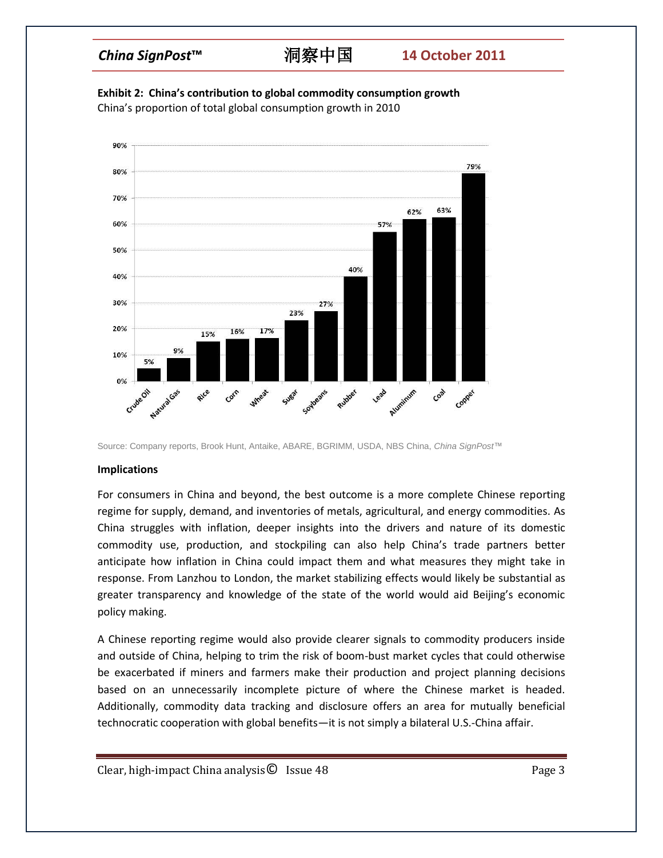# *China SignPost***™** 洞察中国 **14 October 2011**

**Exhibit 2: China's contribution to global commodity consumption growth** China's proportion of total global consumption growth in 2010



Source: Company reports, Brook Hunt, Antaike, ABARE, BGRIMM, USDA, NBS China, *China SignPost*™

### **Implications**

For consumers in China and beyond, the best outcome is a more complete Chinese reporting regime for supply, demand, and inventories of metals, agricultural, and energy commodities. As China struggles with inflation, deeper insights into the drivers and nature of its domestic commodity use, production, and stockpiling can also help China's trade partners better anticipate how inflation in China could impact them and what measures they might take in response. From Lanzhou to London, the market stabilizing effects would likely be substantial as greater transparency and knowledge of the state of the world would aid Beijing's economic policy making.

A Chinese reporting regime would also provide clearer signals to commodity producers inside and outside of China, helping to trim the risk of boom-bust market cycles that could otherwise be exacerbated if miners and farmers make their production and project planning decisions based on an unnecessarily incomplete picture of where the Chinese market is headed. Additionally, commodity data tracking and disclosure offers an area for mutually beneficial technocratic cooperation with global benefits—it is not simply a bilateral U.S.-China affair.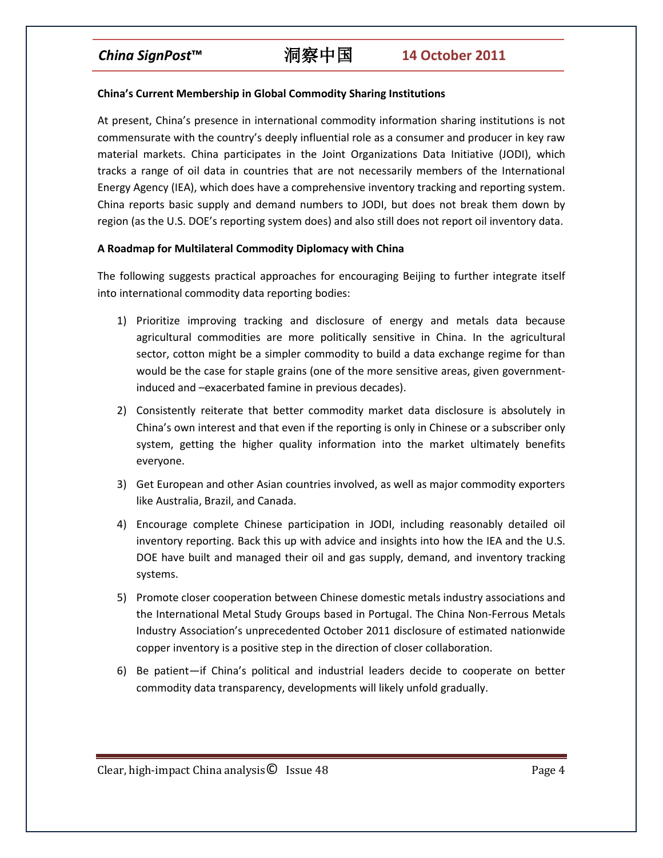# *China SignPost***™** 洞察中国 **14 October 2011**

### **China's Current Membership in Global Commodity Sharing Institutions**

At present, China's presence in international commodity information sharing institutions is not commensurate with the country's deeply influential role as a consumer and producer in key raw material markets. China participates in the Joint Organizations Data Initiative (JODI), which tracks a range of oil data in countries that are not necessarily members of the International Energy Agency (IEA), which does have a comprehensive inventory tracking and reporting system. China reports basic supply and demand numbers to JODI, but does not break them down by region (as the U.S. DOE's reporting system does) and also still does not report oil inventory data.

### **A Roadmap for Multilateral Commodity Diplomacy with China**

The following suggests practical approaches for encouraging Beijing to further integrate itself into international commodity data reporting bodies:

- 1) Prioritize improving tracking and disclosure of energy and metals data because agricultural commodities are more politically sensitive in China. In the agricultural sector, cotton might be a simpler commodity to build a data exchange regime for than would be the case for staple grains (one of the more sensitive areas, given governmentinduced and –exacerbated famine in previous decades).
- 2) Consistently reiterate that better commodity market data disclosure is absolutely in China's own interest and that even if the reporting is only in Chinese or a subscriber only system, getting the higher quality information into the market ultimately benefits everyone.
- 3) Get European and other Asian countries involved, as well as major commodity exporters like Australia, Brazil, and Canada.
- 4) Encourage complete Chinese participation in JODI, including reasonably detailed oil inventory reporting. Back this up with advice and insights into how the IEA and the U.S. DOE have built and managed their oil and gas supply, demand, and inventory tracking systems.
- 5) Promote closer cooperation between Chinese domestic metals industry associations and the International Metal Study Groups based in Portugal. The China Non-Ferrous Metals Industry Association's unprecedented October 2011 disclosure of estimated nationwide copper inventory is a positive step in the direction of closer collaboration.
- 6) Be patient—if China's political and industrial leaders decide to cooperate on better commodity data transparency, developments will likely unfold gradually.